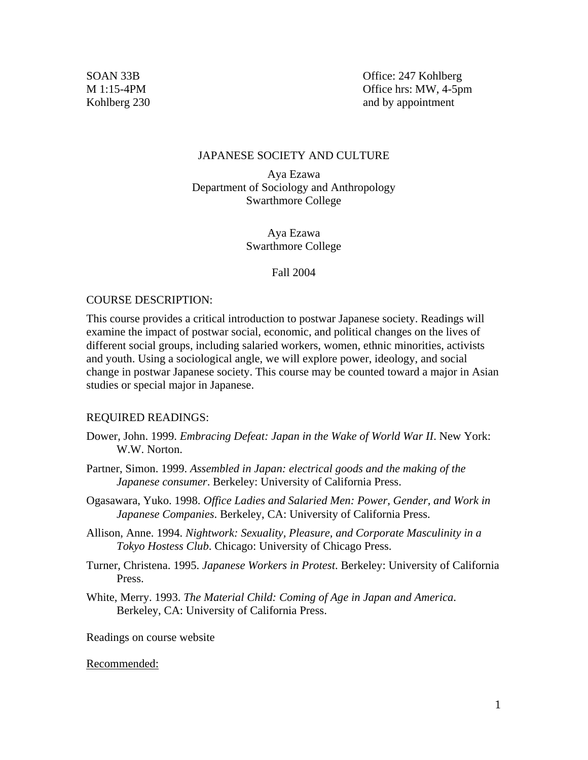SOAN 33B Office: 247 Kohlberg M 1:15-4PM Office hrs: MW, 4-5pm Kohlberg 230 and by appointment

#### JAPANESE SOCIETY AND CULTURE

Aya Ezawa Department of Sociology and Anthropology Swarthmore College

> Aya Ezawa Swarthmore College

#### Fall 2004

#### COURSE DESCRIPTION:

This course provides a critical introduction to postwar Japanese society. Readings will examine the impact of postwar social, economic, and political changes on the lives of different social groups, including salaried workers, women, ethnic minorities, activists and youth. Using a sociological angle, we will explore power, ideology, and social change in postwar Japanese society. This course may be counted toward a major in Asian studies or special major in Japanese.

### REQUIRED READINGS:

- Dower, John. 1999. *Embracing Defeat: Japan in the Wake of World War II*. New York: W.W. Norton.
- Partner, Simon. 1999. *Assembled in Japan: electrical goods and the making of the Japanese consumer*. Berkeley: University of California Press.
- Ogasawara, Yuko. 1998. *Office Ladies and Salaried Men: Power, Gender, and Work in Japanese Companies*. Berkeley, CA: University of California Press.
- Allison, Anne. 1994. *Nightwork: Sexuality, Pleasure, and Corporate Masculinity in a Tokyo Hostess Club*. Chicago: University of Chicago Press.
- Turner, Christena. 1995. *Japanese Workers in Protest*. Berkeley: University of California Press.
- White, Merry. 1993. *The Material Child: Coming of Age in Japan and America*. Berkeley, CA: University of California Press.

Readings on course website

#### Recommended: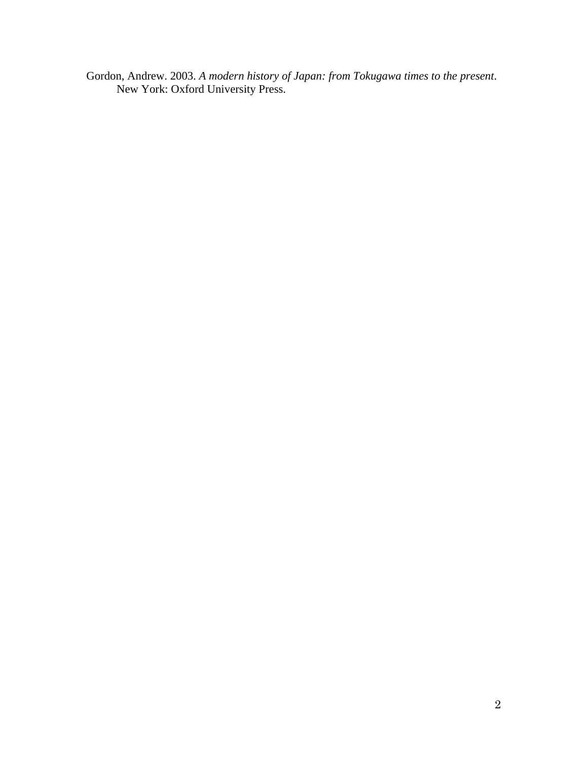Gordon, Andrew. 2003. *A modern history of Japan: from Tokugawa times to the present*. New York: Oxford University Press.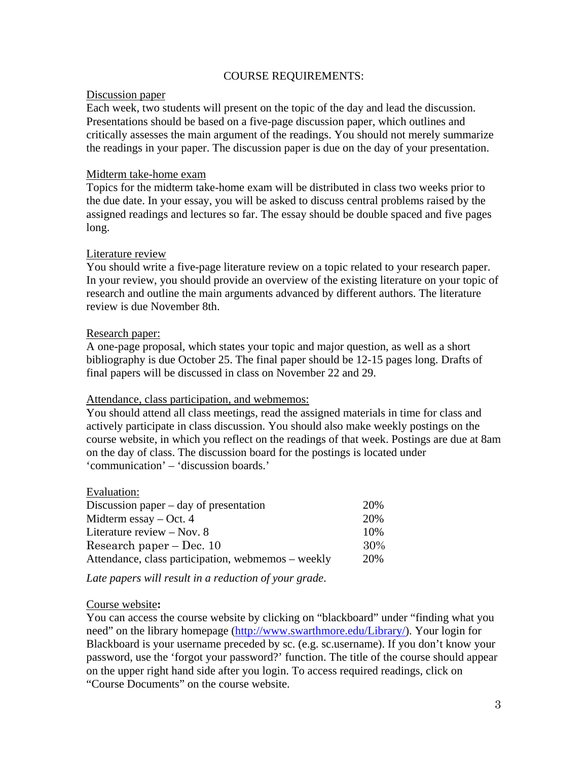# COURSE REQUIREMENTS:

## Discussion paper

Each week, two students will present on the topic of the day and lead the discussion. Presentations should be based on a five-page discussion paper, which outlines and critically assesses the main argument of the readings. You should not merely summarize the readings in your paper. The discussion paper is due on the day of your presentation.

## Midterm take-home exam

Topics for the midterm take-home exam will be distributed in class two weeks prior to the due date. In your essay, you will be asked to discuss central problems raised by the assigned readings and lectures so far. The essay should be double spaced and five pages long.

## Literature review

You should write a five-page literature review on a topic related to your research paper. In your review, you should provide an overview of the existing literature on your topic of research and outline the main arguments advanced by different authors. The literature review is due November 8th.

## Research paper:

A one-page proposal, which states your topic and major question, as well as a short bibliography is due October 25. The final paper should be 12-15 pages long. Drafts of final papers will be discussed in class on November 22 and 29.

### Attendance, class participation, and webmemos:

You should attend all class meetings, read the assigned materials in time for class and actively participate in class discussion. You should also make weekly postings on the course website, in which you reflect on the readings of that week. Postings are due at 8am on the day of class. The discussion board for the postings is located under 'communication' – 'discussion boards.'

| Evaluation:                                        |     |
|----------------------------------------------------|-----|
| Discussion paper $-$ day of presentation           | 20% |
| Midterm essay $-$ Oct. 4                           | 20% |
| Literature review $-$ Nov. 8                       | 10% |
| Research paper $-$ Dec. 10                         | 30% |
| Attendance, class participation, webmemos – weekly | 20% |
|                                                    |     |

*Late papers will result in a reduction of your grade*.

# Course website**:**

Evaluation:

You can access the course website by clicking on "blackboard" under "finding what you need" on the library homepage [\(http://www.swarthmore.edu/Library/](http://www.swarthmore.edu/Library/)). Your login for Blackboard is your username preceded by sc. (e.g. sc.username). If you don't know your password, use the 'forgot your password?' function. The title of the course should appear on the upper right hand side after you login. To access required readings, click on "Course Documents" on the course website.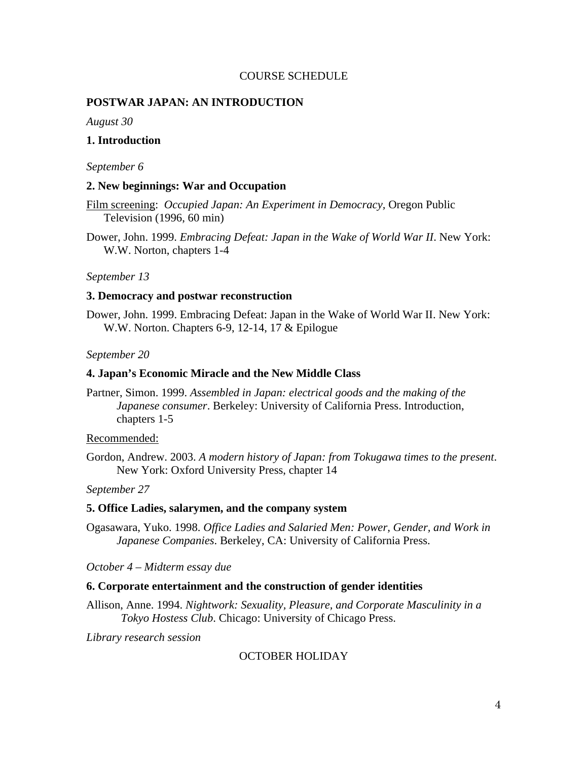### COURSE SCHEDULE

### **POSTWAR JAPAN: AN INTRODUCTION**

*August 30* 

## **1. Introduction**

#### *September 6*

#### **2. New beginnings: War and Occupation**

Film screening: *Occupied Japan: An Experiment in Democracy,* Oregon Public Television (1996, 60 min)

Dower, John. 1999. *Embracing Defeat: Japan in the Wake of World War II*. New York: W.W. Norton, chapters 1-4

### *September 13*

### **3. Democracy and postwar reconstruction**

Dower, John. 1999. Embracing Defeat: Japan in the Wake of World War II. New York: W.W. Norton. Chapters 6-9, 12-14, 17 & Epilogue

#### *September 20*

#### **4. Japan's Economic Miracle and the New Middle Class**

Partner, Simon. 1999. *Assembled in Japan: electrical goods and the making of the Japanese consumer*. Berkeley: University of California Press. Introduction, chapters 1-5

### Recommended:

Gordon, Andrew. 2003. *A modern history of Japan: from Tokugawa times to the present*. New York: Oxford University Press, chapter 14

*September 27* 

#### **5. Office Ladies, salarymen, and the company system**

Ogasawara, Yuko. 1998. *Office Ladies and Salaried Men: Power, Gender, and Work in Japanese Companies*. Berkeley, CA: University of California Press.

*October 4 – Midterm essay due* 

#### **6. Corporate entertainment and the construction of gender identities**

Allison, Anne. 1994. *Nightwork: Sexuality, Pleasure, and Corporate Masculinity in a Tokyo Hostess Club*. Chicago: University of Chicago Press.

*Library research session* 

### OCTOBER HOLIDAY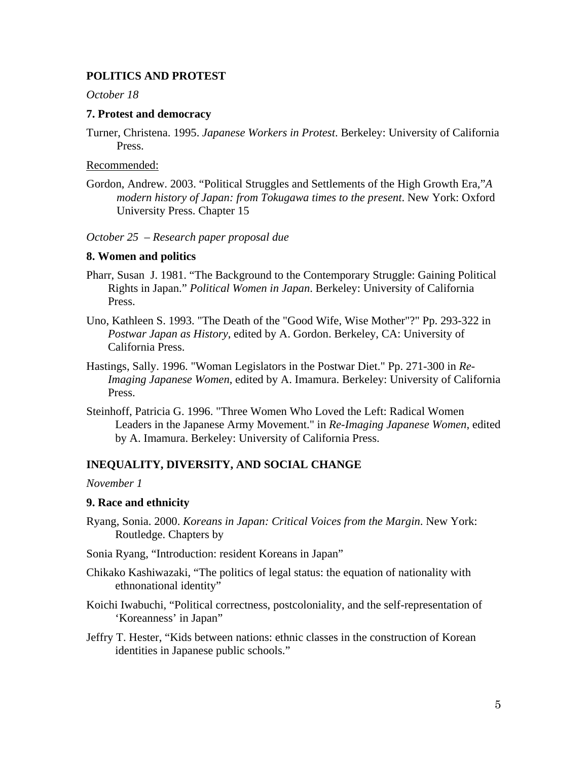# **POLITICS AND PROTEST**

*October 18* 

## **7. Protest and democracy**

Turner, Christena. 1995. *Japanese Workers in Protest*. Berkeley: University of California Press.

## Recommended:

Gordon, Andrew. 2003. "Political Struggles and Settlements of the High Growth Era,"*A modern history of Japan: from Tokugawa times to the present*. New York: Oxford University Press. Chapter 15

# *October 25 – Research paper proposal due*

## **8. Women and politics**

- Pharr, Susan J. 1981. "The Background to the Contemporary Struggle: Gaining Political Rights in Japan." *Political Women in Japan*. Berkeley: University of California Press.
- Uno, Kathleen S. 1993. "The Death of the "Good Wife, Wise Mother"?" Pp. 293-322 in *Postwar Japan as History*, edited by A. Gordon. Berkeley, CA: University of California Press.
- Hastings, Sally. 1996. "Woman Legislators in the Postwar Diet." Pp. 271-300 in *Re-Imaging Japanese Women*, edited by A. Imamura. Berkeley: University of California Press.
- Steinhoff, Patricia G. 1996. "Three Women Who Loved the Left: Radical Women Leaders in the Japanese Army Movement." in *Re-Imaging Japanese Women*, edited by A. Imamura. Berkeley: University of California Press.

# **INEQUALITY, DIVERSITY, AND SOCIAL CHANGE**

*November 1* 

# **9. Race and ethnicity**

- Ryang, Sonia. 2000. *Koreans in Japan: Critical Voices from the Margin*. New York: Routledge. Chapters by
- Sonia Ryang, "Introduction: resident Koreans in Japan"
- Chikako Kashiwazaki, "The politics of legal status: the equation of nationality with ethnonational identity"
- Koichi Iwabuchi, "Political correctness, postcoloniality, and the self-representation of 'Koreanness' in Japan"
- Jeffry T. Hester, "Kids between nations: ethnic classes in the construction of Korean identities in Japanese public schools."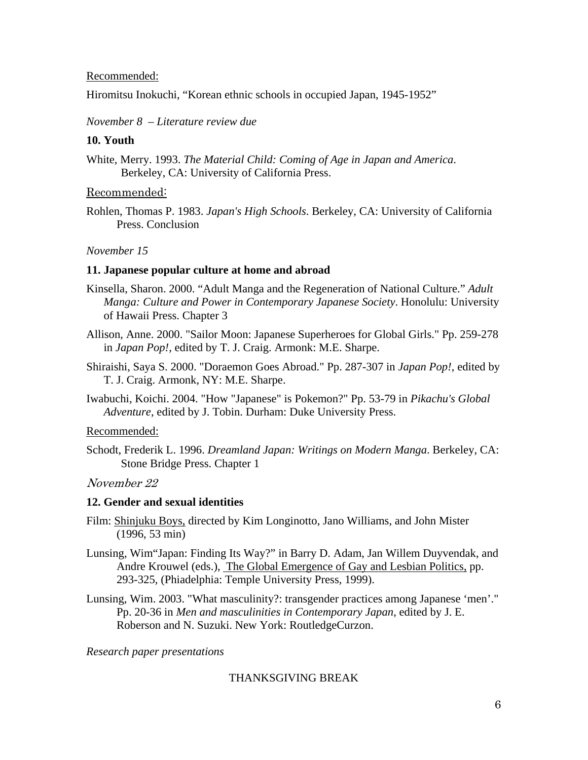## Recommended:

Hiromitsu Inokuchi, "Korean ethnic schools in occupied Japan, 1945-1952"

*November 8 – Literature review due* 

## **10. Youth**

White, Merry. 1993. *The Material Child: Coming of Age in Japan and America*. Berkeley, CA: University of California Press.

## Recommended:

Rohlen, Thomas P. 1983. *Japan's High Schools*. Berkeley, CA: University of California Press. Conclusion

## *November 15*

## **11. Japanese popular culture at home and abroad**

- Kinsella, Sharon. 2000. "Adult Manga and the Regeneration of National Culture." *Adult Manga: Culture and Power in Contemporary Japanese Society*. Honolulu: University of Hawaii Press. Chapter 3
- Allison, Anne. 2000. "Sailor Moon: Japanese Superheroes for Global Girls." Pp. 259-278 in *Japan Pop!*, edited by T. J. Craig. Armonk: M.E. Sharpe.
- Shiraishi, Saya S. 2000. "Doraemon Goes Abroad." Pp. 287-307 in *Japan Pop!*, edited by T. J. Craig. Armonk, NY: M.E. Sharpe.
- Iwabuchi, Koichi. 2004. "How "Japanese" is Pokemon?" Pp. 53-79 in *Pikachu's Global Adventure*, edited by J. Tobin. Durham: Duke University Press.

# Recommended:

Schodt, Frederik L. 1996. *Dreamland Japan: Writings on Modern Manga*. Berkeley, CA: Stone Bridge Press. Chapter 1

# November 22

# **12. Gender and sexual identities**

- Film: Shinjuku Boys, directed by Kim Longinotto, Jano Williams, and John Mister (1996, 53 min)
- Lunsing, Wim"Japan: Finding Its Way?" in Barry D. Adam, Jan Willem Duyvendak, and Andre Krouwel (eds.), The Global Emergence of Gay and Lesbian Politics, pp. 293-325, (Phiadelphia: Temple University Press, 1999).
- Lunsing, Wim. 2003. "What masculinity?: transgender practices among Japanese 'men'." Pp. 20-36 in *Men and masculinities in Contemporary Japan*, edited by J. E. Roberson and N. Suzuki. New York: RoutledgeCurzon.

## *Research paper presentations*

# THANKSGIVING BREAK